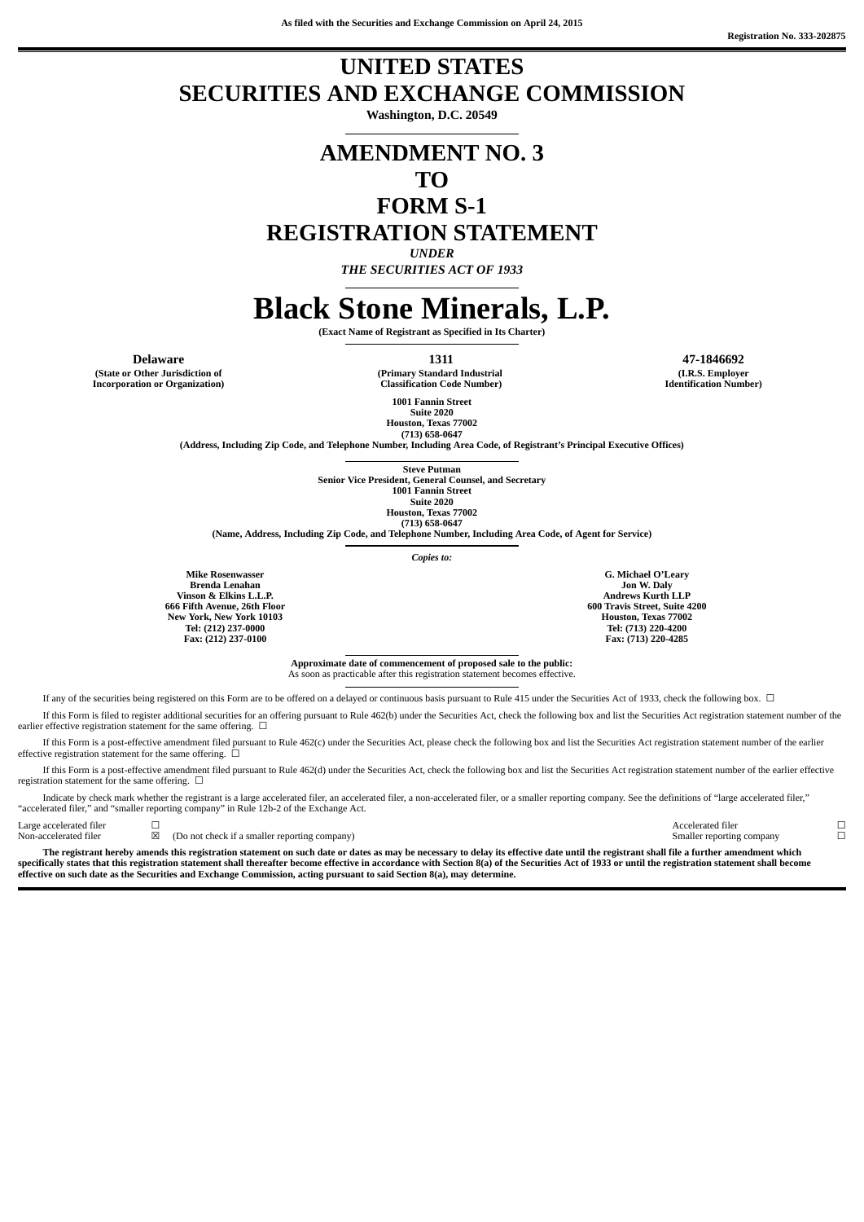**As filed with the Securities and Exchange Commission on April 24, 2015**

**Registration No. 333-202875**

## **UNITED STATES SECURITIES AND EXCHANGE COMMISSION**

**Washington, D.C. 20549**

## **AMENDMENT NO. 3 TO FORM S-1 REGISTRATION STATEMENT**

*UNDER*

*THE SECURITIES ACT OF 1933*

# **Black Stone Minerals, L.P.**

**(Exact Name of Registrant as Specified in Its Charter)**

**Delaware 1311 47-1846692**

**(State or Other Jurisdiction of Incorporation or Organization)** **(Primary Standard Industrial Classification Code Number)**

**1001 Fannin Street Suite 2020 Houston, Texas 77002**

**(713) 658-0647**

**(Address, Including Zip Code, and Telephone Number, Including Area Code, of Registrant's Principal Executive Offices)**

**Steve Putman**

**Senior Vice President, General Counsel, and Secretary 1001 Fannin Street**

**Suite 2020**

**Houston, Texas 77002 (713) 658-0647**

**(Name, Address, Including Zip Code, and Telephone Number, Including Area Code, of Agent for Service)**

*Copies to:*

**Mike Rosenwasser Brenda Lenahan Vinson & Elkins L.L.P. 666 Fifth Avenue, 26th Floor New York, New York 10103 Tel: (212) 237-0000 Fax: (212) 237-0100**

**G. Michael O'Leary Jon W. Daly Andrews Kurth LLP 600 Travis Street, Suite 4200 Houston, Texas 77002 Tel: (713) 220-4200 Fax: (713) 220-4285**

**Approximate date of commencement of proposed sale to the public:** As soon as practicable after this registration statement becomes effective.

If any of the securities being registered on this Form are to be offered on a delayed or continuous basis pursuant to Rule 415 under the Securities Act of 1933, check the following box. □

If this Form is filed to register additional securities for an offering pursuant to Rule 462(b) under the Securities Act, check the following box and list the Securities Act registration statement number of the earlier effective registration statement for the same offering.  $□$ 

If this Form is a post-effective amendment filed pursuant to Rule 462(c) under the Securities Act, please check the following box and list the Securities Act registration statement number of the earlier effective registra

If this Form is a post-effective amendment filed pursuant to Rule 462(d) under the Securities Act, check the following box and list the Securities Act registration statement number of the earlier effective registration statement for the same offering.  $\Box$ 

Indicate by check mark whether the registrant is a large accelerated filer, an accelerated filer, an accelerated filer, an an-accelerated filer, an an-accelerated filer, or a smaller reporting company. See the definitions "accelerated filer," and "smaller reporting company" in Rule 12b-2 of the Exchange Act.

 $\Box$   $\Box$   $\Box$ Non-accelerated filer □ □ (Do not check if a smaller reporting company) Smaller reporting company □ □ → Succelerated filer smaller reporting company □

**The registrant hereby amends this registration statement on such date or dates as may be necessary to delay its effective date until the registrant shall file a further amendment which** specifically states that this registration statement shall thereafter become effective in accordance with Section 8(a) of the Securities Act of 1933 or until the registration statement shall become<br>effective on such date a

**(I.R.S. Employer Identification Number)**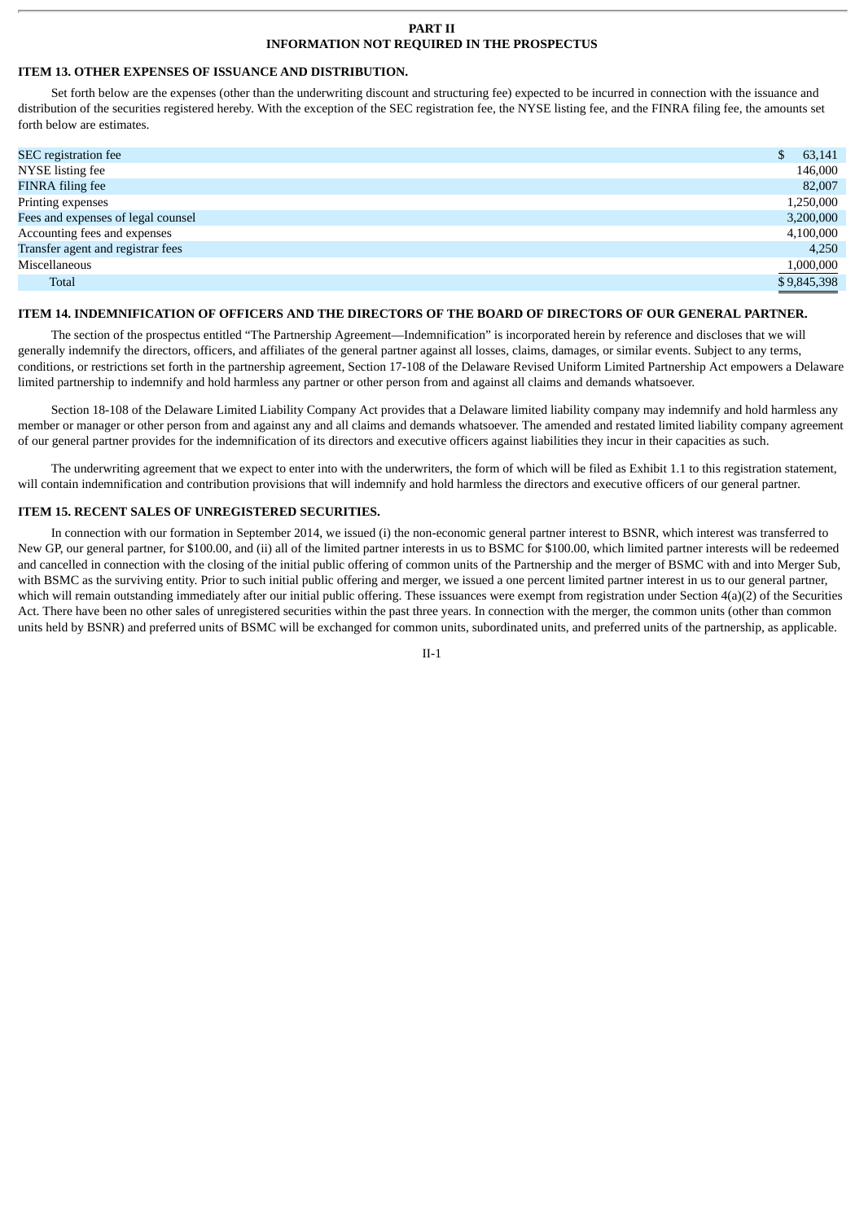#### **PART II INFORMATION NOT REQUIRED IN THE PROSPECTUS**

#### **ITEM 13. OTHER EXPENSES OF ISSUANCE AND DISTRIBUTION.**

Set forth below are the expenses (other than the underwriting discount and structuring fee) expected to be incurred in connection with the issuance and distribution of the securities registered hereby. With the exception of the SEC registration fee, the NYSE listing fee, and the FINRA filing fee, the amounts set forth below are estimates.

| <b>SEC</b> registration fee        | \$<br>63,141 |
|------------------------------------|--------------|
| NYSE listing fee                   | 146,000      |
| FINRA filing fee                   | 82,007       |
| Printing expenses                  | 1,250,000    |
| Fees and expenses of legal counsel | 3,200,000    |
| Accounting fees and expenses       | 4,100,000    |
| Transfer agent and registrar fees  | 4,250        |
| Miscellaneous                      | 1,000,000    |
| Total                              | \$9,845,398  |
|                                    |              |

#### **ITEM 14. INDEMNIFICATION OF OFFICERS AND THE DIRECTORS OF THE BOARD OF DIRECTORS OF OUR GENERAL PARTNER.**

The section of the prospectus entitled "The Partnership Agreement—Indemnification" is incorporated herein by reference and discloses that we will generally indemnify the directors, officers, and affiliates of the general partner against all losses, claims, damages, or similar events. Subject to any terms, conditions, or restrictions set forth in the partnership agreement, Section 17-108 of the Delaware Revised Uniform Limited Partnership Act empowers a Delaware limited partnership to indemnify and hold harmless any partner or other person from and against all claims and demands whatsoever.

Section 18-108 of the Delaware Limited Liability Company Act provides that a Delaware limited liability company may indemnify and hold harmless any member or manager or other person from and against any and all claims and demands whatsoever. The amended and restated limited liability company agreement of our general partner provides for the indemnification of its directors and executive officers against liabilities they incur in their capacities as such.

The underwriting agreement that we expect to enter into with the underwriters, the form of which will be filed as Exhibit 1.1 to this registration statement, will contain indemnification and contribution provisions that will indemnify and hold harmless the directors and executive officers of our general partner.

#### **ITEM 15. RECENT SALES OF UNREGISTERED SECURITIES.**

In connection with our formation in September 2014, we issued (i) the non-economic general partner interest to BSNR, which interest was transferred to New GP, our general partner, for \$100.00, and (ii) all of the limited partner interests in us to BSMC for \$100.00, which limited partner interests will be redeemed and cancelled in connection with the closing of the initial public offering of common units of the Partnership and the merger of BSMC with and into Merger Sub, with BSMC as the surviving entity. Prior to such initial public offering and merger, we issued a one percent limited partner interest in us to our general partner, which will remain outstanding immediately after our initial public offering. These issuances were exempt from registration under Section 4(a)(2) of the Securities Act. There have been no other sales of unregistered securities within the past three years. In connection with the merger, the common units (other than common units held by BSNR) and preferred units of BSMC will be exchanged for common units, subordinated units, and preferred units of the partnership, as applicable.

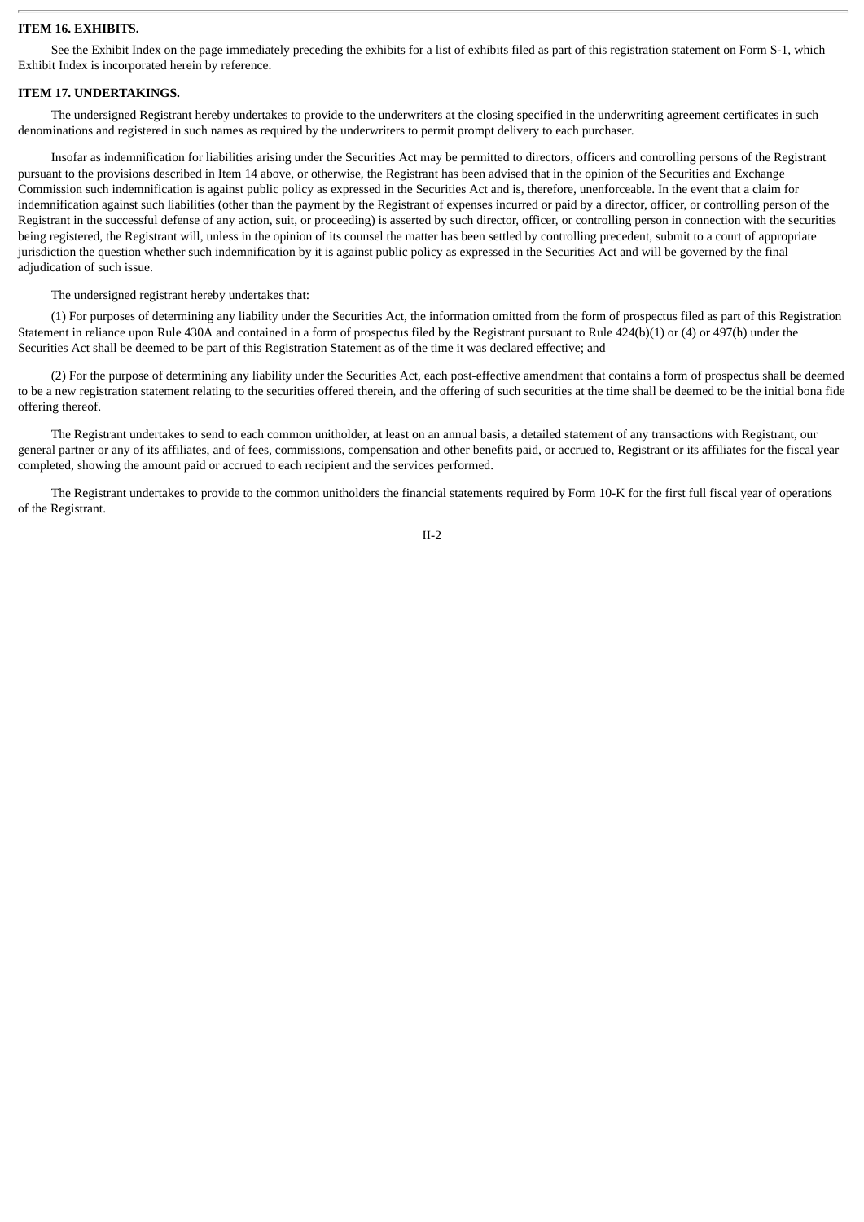#### **ITEM 16. EXHIBITS.**

See the Exhibit Index on the page immediately preceding the exhibits for a list of exhibits filed as part of this registration statement on Form S-1, which Exhibit Index is incorporated herein by reference.

#### **ITEM 17. UNDERTAKINGS.**

The undersigned Registrant hereby undertakes to provide to the underwriters at the closing specified in the underwriting agreement certificates in such denominations and registered in such names as required by the underwriters to permit prompt delivery to each purchaser.

Insofar as indemnification for liabilities arising under the Securities Act may be permitted to directors, officers and controlling persons of the Registrant pursuant to the provisions described in Item 14 above, or otherwise, the Registrant has been advised that in the opinion of the Securities and Exchange Commission such indemnification is against public policy as expressed in the Securities Act and is, therefore, unenforceable. In the event that a claim for indemnification against such liabilities (other than the payment by the Registrant of expenses incurred or paid by a director, officer, or controlling person of the Registrant in the successful defense of any action, suit, or proceeding) is asserted by such director, officer, or controlling person in connection with the securities being registered, the Registrant will, unless in the opinion of its counsel the matter has been settled by controlling precedent, submit to a court of appropriate jurisdiction the question whether such indemnification by it is against public policy as expressed in the Securities Act and will be governed by the final adjudication of such issue.

The undersigned registrant hereby undertakes that:

(1) For purposes of determining any liability under the Securities Act, the information omitted from the form of prospectus filed as part of this Registration Statement in reliance upon Rule 430A and contained in a form of prospectus filed by the Registrant pursuant to Rule 424(b)(1) or (4) or 497(h) under the Securities Act shall be deemed to be part of this Registration Statement as of the time it was declared effective; and

(2) For the purpose of determining any liability under the Securities Act, each post-effective amendment that contains a form of prospectus shall be deemed to be a new registration statement relating to the securities offered therein, and the offering of such securities at the time shall be deemed to be the initial bona fide offering thereof.

The Registrant undertakes to send to each common unitholder, at least on an annual basis, a detailed statement of any transactions with Registrant, our general partner or any of its affiliates, and of fees, commissions, compensation and other benefits paid, or accrued to, Registrant or its affiliates for the fiscal year completed, showing the amount paid or accrued to each recipient and the services performed.

The Registrant undertakes to provide to the common unitholders the financial statements required by Form 10-K for the first full fiscal year of operations of the Registrant.

 $II-2$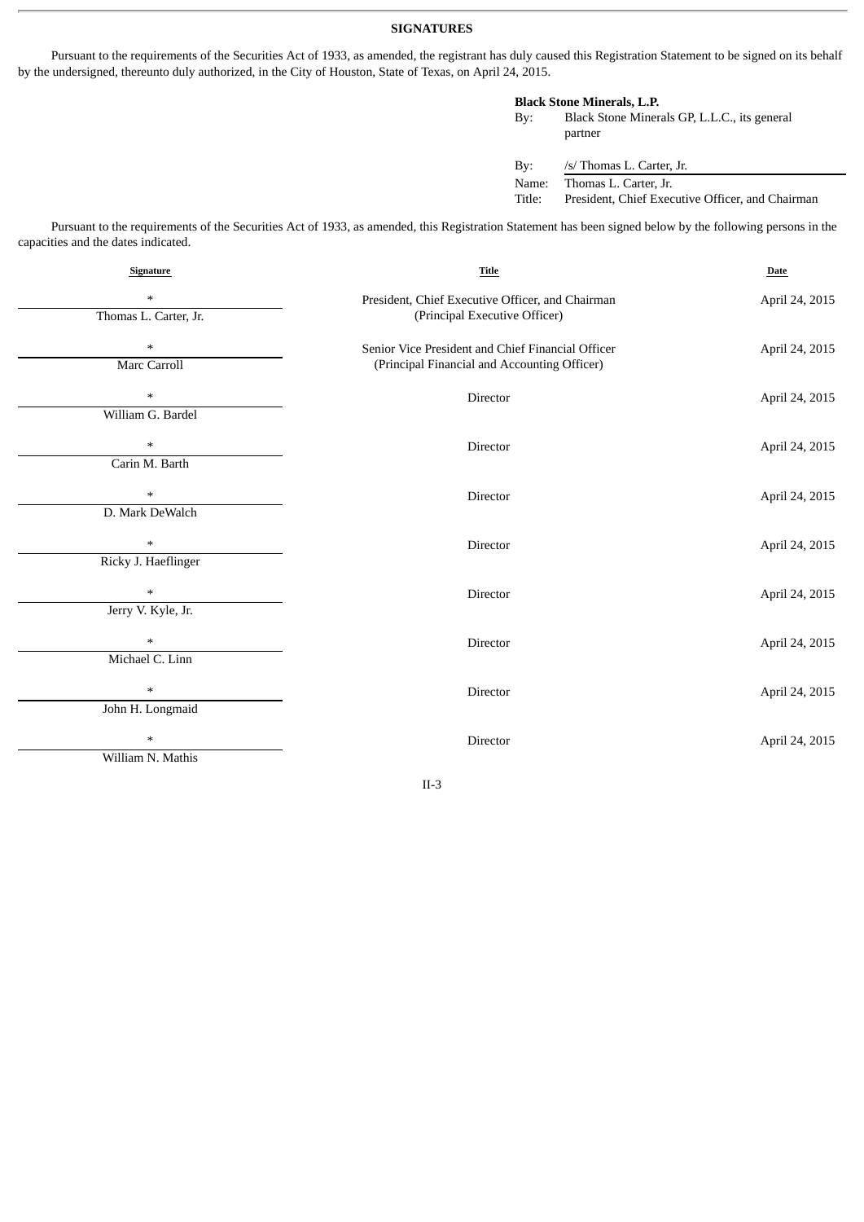#### **SIGNATURES**

Pursuant to the requirements of the Securities Act of 1933, as amended, the registrant has duly caused this Registration Statement to be signed on its behalf by the undersigned, thereunto duly authorized, in the City of Houston, State of Texas, on April 24, 2015.

#### **Black Stone Minerals, L.P.** By: Black Stone Minerals GP, L.L.C., its general partner

| Bv:    | /s/ Thomas L. Carter, Jr.                        |
|--------|--------------------------------------------------|
| Name:  | Thomas L. Carter, Jr.                            |
| Title: | President, Chief Executive Officer, and Chairman |

Pursuant to the requirements of the Securities Act of 1933, as amended, this Registration Statement has been signed below by the following persons in the capacities and the dates indicated.

| Signature             | Title                                             | Date           |
|-----------------------|---------------------------------------------------|----------------|
| $\ast$                | President, Chief Executive Officer, and Chairman  | April 24, 2015 |
| Thomas L. Carter, Jr. | (Principal Executive Officer)                     |                |
| $\ast$                | Senior Vice President and Chief Financial Officer | April 24, 2015 |
| Marc Carroll          | (Principal Financial and Accounting Officer)      |                |
| $\ast$                | Director                                          | April 24, 2015 |
| William G. Bardel     |                                                   |                |
| $\ast$                | Director                                          | April 24, 2015 |
| Carin M. Barth        |                                                   |                |
| $\ast$                | Director                                          | April 24, 2015 |
| D. Mark DeWalch       |                                                   |                |
| $\ast$                | Director                                          | April 24, 2015 |
| Ricky J. Haeflinger   |                                                   |                |
| $\ast$                | Director                                          | April 24, 2015 |
| Jerry V. Kyle, Jr.    |                                                   |                |
| $\ast$                | Director                                          | April 24, 2015 |
| Michael C. Linn       |                                                   |                |
| $\ast$                | Director                                          | April 24, 2015 |
| John H. Longmaid      |                                                   |                |
| *                     | Director                                          | April 24, 2015 |
| William N. Mathis     |                                                   |                |

II-3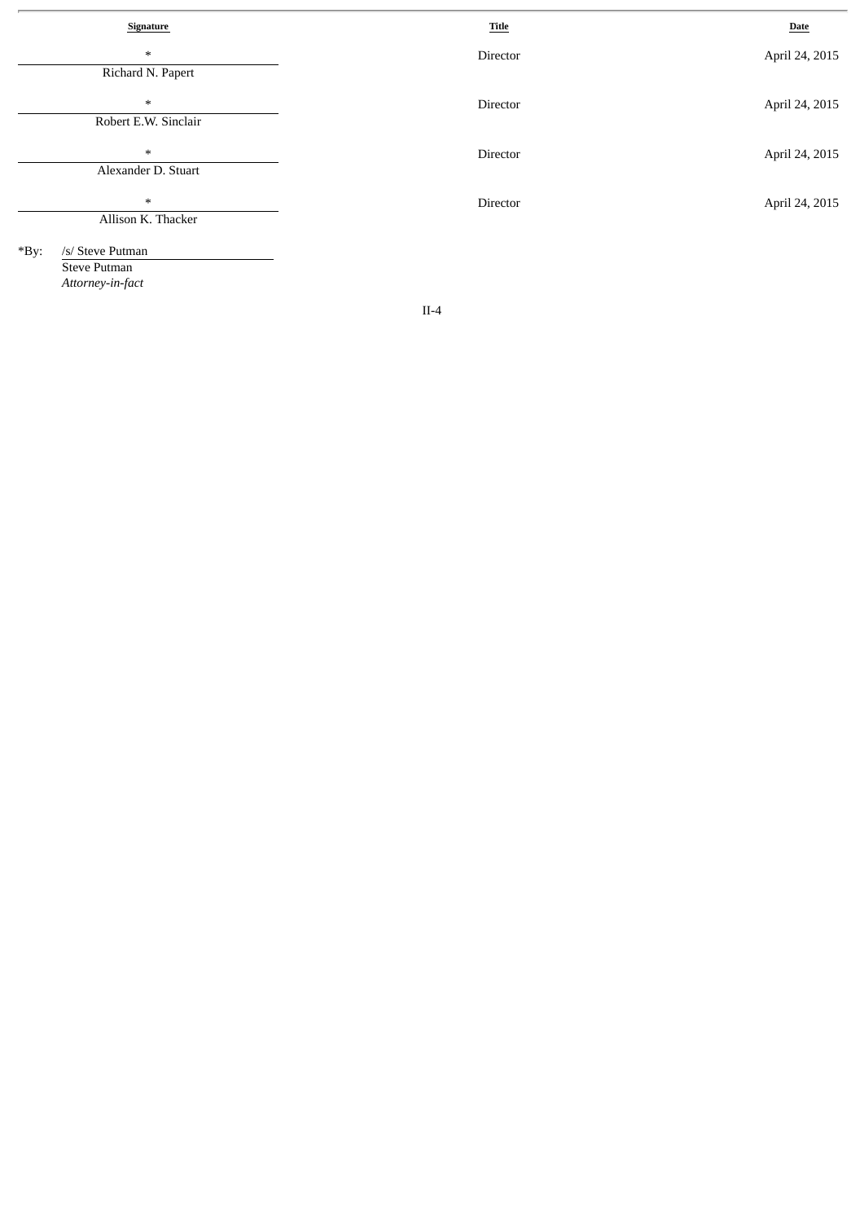| <b>Signature</b>         | <b>Title</b> | <b>Date</b>    |
|--------------------------|--------------|----------------|
| $\ast$                   | Director     | April 24, 2015 |
| Richard N. Papert        |              |                |
| $\ast$                   | Director     | April 24, 2015 |
| Robert E.W. Sinclair     |              |                |
| $\ast$                   | Director     | April 24, 2015 |
| Alexander D. Stuart      |              |                |
| $\ast$                   | Director     | April 24, 2015 |
| Allison K. Thacker       |              |                |
| *By:<br>/s/ Steve Putman |              |                |
| <b>Steve Putman</b>      |              |                |

II-4

*Attorney-in-fact*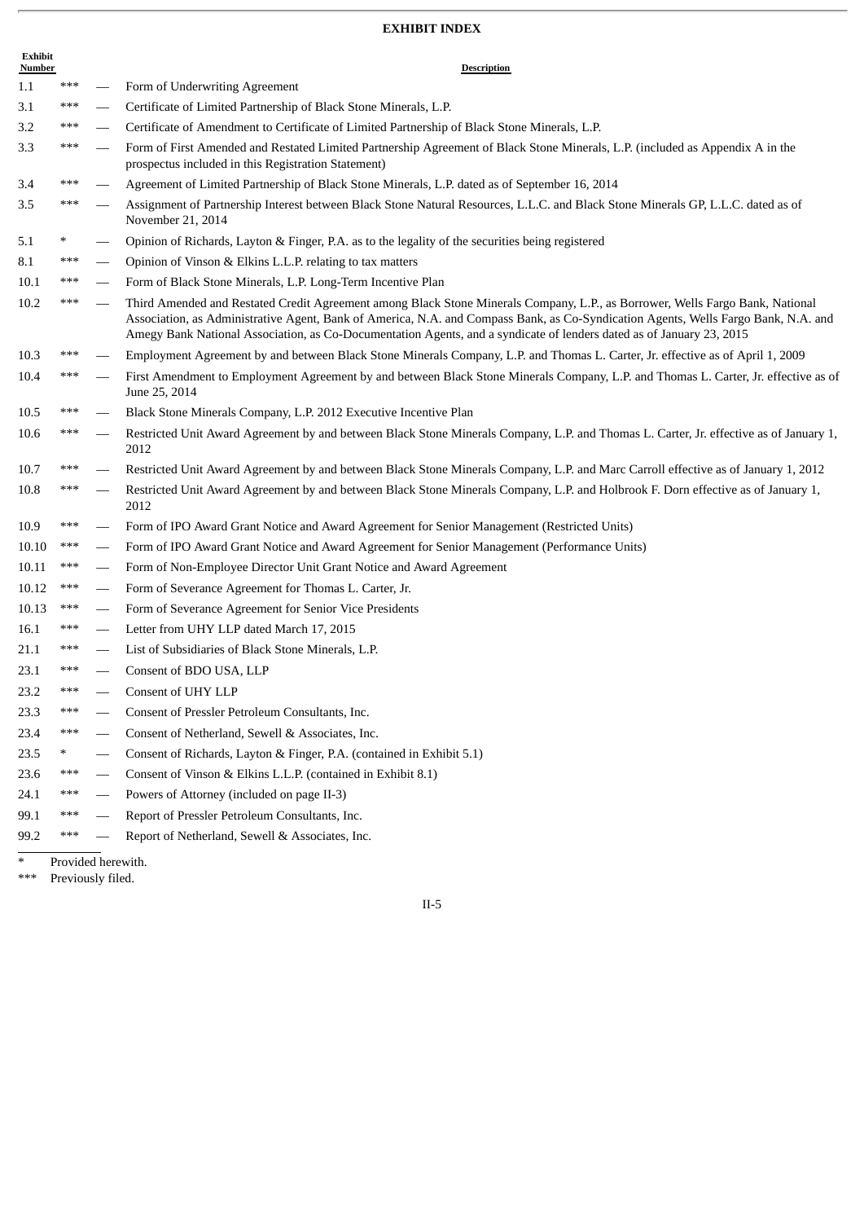### **EXHIBIT INDEX**

| Exhibit<br>Number |     | <b>Description</b>                                                                                                                                                                                                                                                                                                                                                                          |
|-------------------|-----|---------------------------------------------------------------------------------------------------------------------------------------------------------------------------------------------------------------------------------------------------------------------------------------------------------------------------------------------------------------------------------------------|
| 1.1               | *** | Form of Underwriting Agreement                                                                                                                                                                                                                                                                                                                                                              |
| 3.1               | *** | Certificate of Limited Partnership of Black Stone Minerals, L.P.                                                                                                                                                                                                                                                                                                                            |
| 3.2               | *** | Certificate of Amendment to Certificate of Limited Partnership of Black Stone Minerals, L.P.                                                                                                                                                                                                                                                                                                |
| 3.3               | *** | Form of First Amended and Restated Limited Partnership Agreement of Black Stone Minerals, L.P. (included as Appendix A in the<br>prospectus included in this Registration Statement)                                                                                                                                                                                                        |
| 3.4               | *** | Agreement of Limited Partnership of Black Stone Minerals, L.P. dated as of September 16, 2014                                                                                                                                                                                                                                                                                               |
| 3.5               | *** | Assignment of Partnership Interest between Black Stone Natural Resources, L.L.C. and Black Stone Minerals GP, L.L.C. dated as of<br>November 21, 2014                                                                                                                                                                                                                                       |
| 5.1               | *   | Opinion of Richards, Layton & Finger, P.A. as to the legality of the securities being registered                                                                                                                                                                                                                                                                                            |
| 8.1               | *** | Opinion of Vinson & Elkins L.L.P. relating to tax matters                                                                                                                                                                                                                                                                                                                                   |
| 10.1              | *** | Form of Black Stone Minerals, L.P. Long-Term Incentive Plan                                                                                                                                                                                                                                                                                                                                 |
| 10.2              | *** | Third Amended and Restated Credit Agreement among Black Stone Minerals Company, L.P., as Borrower, Wells Fargo Bank, National<br>Association, as Administrative Agent, Bank of America, N.A. and Compass Bank, as Co-Syndication Agents, Wells Fargo Bank, N.A. and<br>Amegy Bank National Association, as Co-Documentation Agents, and a syndicate of lenders dated as of January 23, 2015 |
| 10.3              | *** | Employment Agreement by and between Black Stone Minerals Company, L.P. and Thomas L. Carter, Jr. effective as of April 1, 2009                                                                                                                                                                                                                                                              |
| 10.4              | *** | First Amendment to Employment Agreement by and between Black Stone Minerals Company, L.P. and Thomas L. Carter, Jr. effective as of<br>June 25, 2014                                                                                                                                                                                                                                        |
| 10.5              | *** | Black Stone Minerals Company, L.P. 2012 Executive Incentive Plan                                                                                                                                                                                                                                                                                                                            |
| 10.6              | *** | Restricted Unit Award Agreement by and between Black Stone Minerals Company, L.P. and Thomas L. Carter, Jr. effective as of January 1,<br>2012                                                                                                                                                                                                                                              |
| 10.7              | *** | Restricted Unit Award Agreement by and between Black Stone Minerals Company, L.P. and Marc Carroll effective as of January 1, 2012                                                                                                                                                                                                                                                          |
| 10.8              | *** | Restricted Unit Award Agreement by and between Black Stone Minerals Company, L.P. and Holbrook F. Dorn effective as of January 1,<br>2012                                                                                                                                                                                                                                                   |
| 10.9              | *** | Form of IPO Award Grant Notice and Award Agreement for Senior Management (Restricted Units)                                                                                                                                                                                                                                                                                                 |
| 10.10             | *** | Form of IPO Award Grant Notice and Award Agreement for Senior Management (Performance Units)                                                                                                                                                                                                                                                                                                |
| 10.11             | *** | Form of Non-Employee Director Unit Grant Notice and Award Agreement                                                                                                                                                                                                                                                                                                                         |
| 10.12             | *** | Form of Severance Agreement for Thomas L. Carter, Jr.                                                                                                                                                                                                                                                                                                                                       |
| 10.13             | *** | Form of Severance Agreement for Senior Vice Presidents                                                                                                                                                                                                                                                                                                                                      |
| 16.1              | *** | Letter from UHY LLP dated March 17, 2015                                                                                                                                                                                                                                                                                                                                                    |
| 21.1              | *** | List of Subsidiaries of Black Stone Minerals, L.P.                                                                                                                                                                                                                                                                                                                                          |
| 23.1              | *** | Consent of BDO USA, LLP                                                                                                                                                                                                                                                                                                                                                                     |
| 23.2              | *** | Consent of UHY LLP                                                                                                                                                                                                                                                                                                                                                                          |
| 23.3              | *** | Consent of Pressler Petroleum Consultants, Inc.                                                                                                                                                                                                                                                                                                                                             |
| 23.4              | *** | Consent of Netherland, Sewell & Associates, Inc.                                                                                                                                                                                                                                                                                                                                            |
| 23.5              |     | Consent of Richards, Layton & Finger, P.A. (contained in Exhibit 5.1)                                                                                                                                                                                                                                                                                                                       |
| 23.6              | *** | Consent of Vinson & Elkins L.L.P. (contained in Exhibit 8.1)                                                                                                                                                                                                                                                                                                                                |
| 24.1              | *** | Powers of Attorney (included on page II-3)                                                                                                                                                                                                                                                                                                                                                  |
| 99.1              | *** | Report of Pressler Petroleum Consultants, Inc.                                                                                                                                                                                                                                                                                                                                              |
| 99.2              | *** | Report of Netherland, Sewell & Associates, Inc.                                                                                                                                                                                                                                                                                                                                             |

\* Provided herewith.

\*\*\* Previously filed.

II-5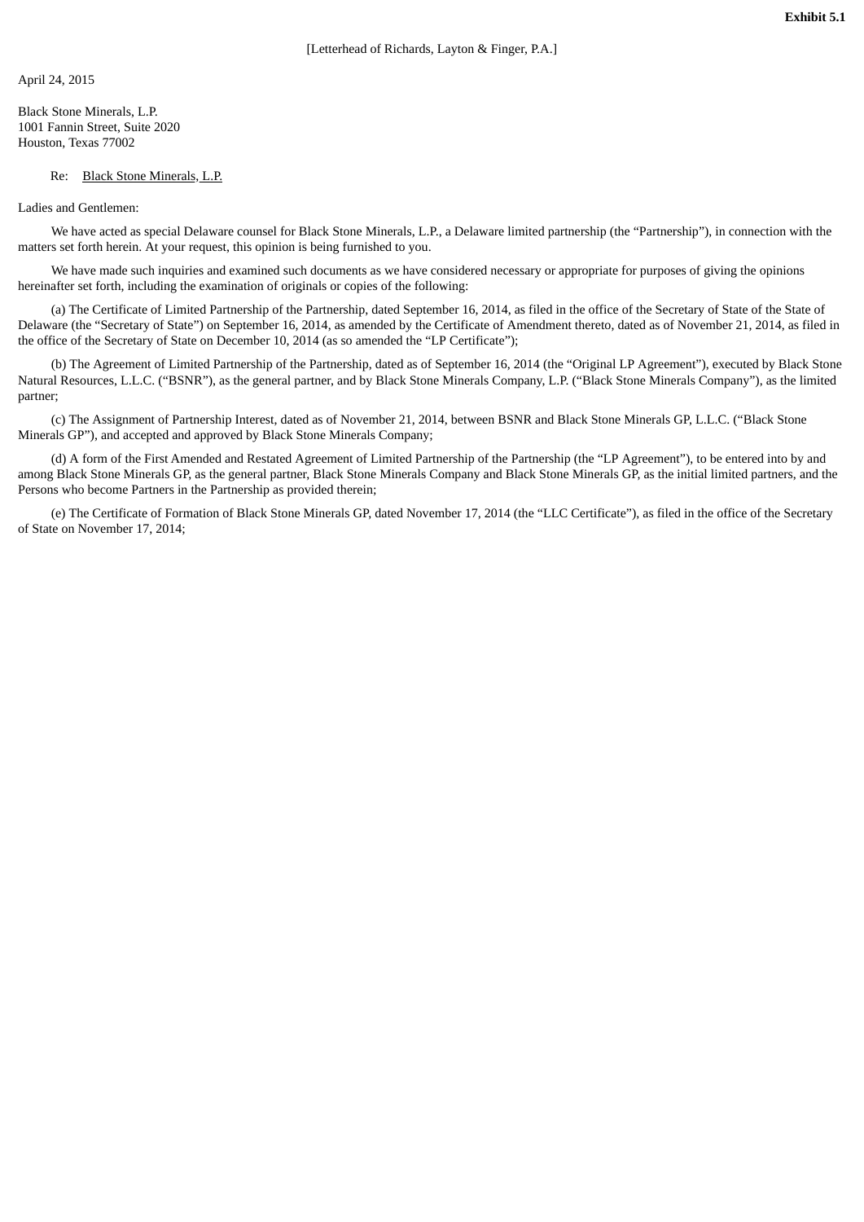April 24, 2015

Black Stone Minerals, L.P. 1001 Fannin Street, Suite 2020 Houston, Texas 77002

#### Re: Black Stone Minerals, L.P.

Ladies and Gentlemen:

We have acted as special Delaware counsel for Black Stone Minerals, L.P., a Delaware limited partnership (the "Partnership"), in connection with the matters set forth herein. At your request, this opinion is being furnished to you.

We have made such inquiries and examined such documents as we have considered necessary or appropriate for purposes of giving the opinions hereinafter set forth, including the examination of originals or copies of the following:

(a) The Certificate of Limited Partnership of the Partnership, dated September 16, 2014, as filed in the office of the Secretary of State of the State of Delaware (the "Secretary of State") on September 16, 2014, as amended by the Certificate of Amendment thereto, dated as of November 21, 2014, as filed in the office of the Secretary of State on December 10, 2014 (as so amended the "LP Certificate");

(b) The Agreement of Limited Partnership of the Partnership, dated as of September 16, 2014 (the "Original LP Agreement"), executed by Black Stone Natural Resources, L.L.C. ("BSNR"), as the general partner, and by Black Stone Minerals Company, L.P. ("Black Stone Minerals Company"), as the limited partner;

(c) The Assignment of Partnership Interest, dated as of November 21, 2014, between BSNR and Black Stone Minerals GP, L.L.C. ("Black Stone Minerals GP"), and accepted and approved by Black Stone Minerals Company;

(d) A form of the First Amended and Restated Agreement of Limited Partnership of the Partnership (the "LP Agreement"), to be entered into by and among Black Stone Minerals GP, as the general partner, Black Stone Minerals Company and Black Stone Minerals GP, as the initial limited partners, and the Persons who become Partners in the Partnership as provided therein;

(e) The Certificate of Formation of Black Stone Minerals GP, dated November 17, 2014 (the "LLC Certificate"), as filed in the office of the Secretary of State on November 17, 2014;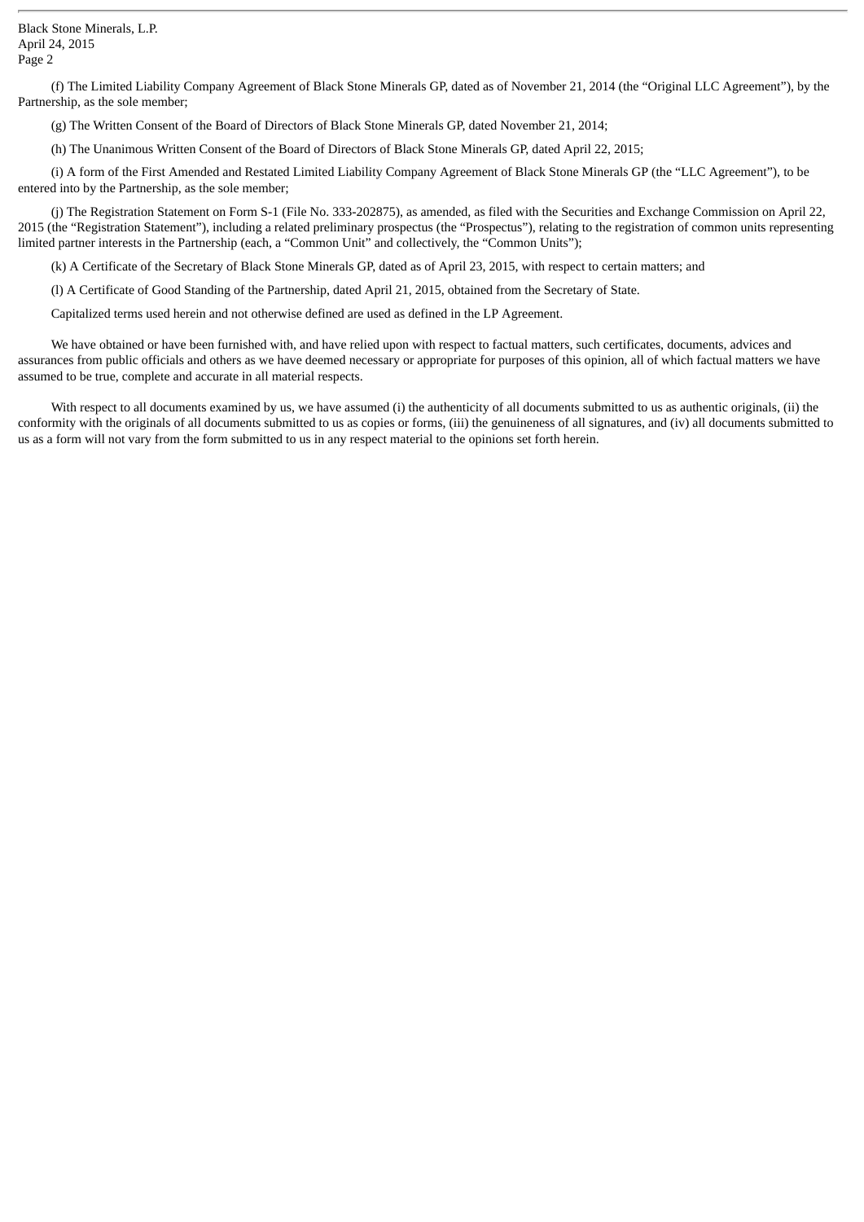(f) The Limited Liability Company Agreement of Black Stone Minerals GP, dated as of November 21, 2014 (the "Original LLC Agreement"), by the Partnership, as the sole member;

(g) The Written Consent of the Board of Directors of Black Stone Minerals GP, dated November 21, 2014;

(h) The Unanimous Written Consent of the Board of Directors of Black Stone Minerals GP, dated April 22, 2015;

(i) A form of the First Amended and Restated Limited Liability Company Agreement of Black Stone Minerals GP (the "LLC Agreement"), to be entered into by the Partnership, as the sole member;

(j) The Registration Statement on Form S-1 (File No. 333-202875), as amended, as filed with the Securities and Exchange Commission on April 22, 2015 (the "Registration Statement"), including a related preliminary prospectus (the "Prospectus"), relating to the registration of common units representing limited partner interests in the Partnership (each, a "Common Unit" and collectively, the "Common Units");

(k) A Certificate of the Secretary of Black Stone Minerals GP, dated as of April 23, 2015, with respect to certain matters; and

(l) A Certificate of Good Standing of the Partnership, dated April 21, 2015, obtained from the Secretary of State.

Capitalized terms used herein and not otherwise defined are used as defined in the LP Agreement.

We have obtained or have been furnished with, and have relied upon with respect to factual matters, such certificates, documents, advices and assurances from public officials and others as we have deemed necessary or appropriate for purposes of this opinion, all of which factual matters we have assumed to be true, complete and accurate in all material respects.

With respect to all documents examined by us, we have assumed (i) the authenticity of all documents submitted to us as authentic originals, (ii) the conformity with the originals of all documents submitted to us as copies or forms, (iii) the genuineness of all signatures, and (iv) all documents submitted to us as a form will not vary from the form submitted to us in any respect material to the opinions set forth herein.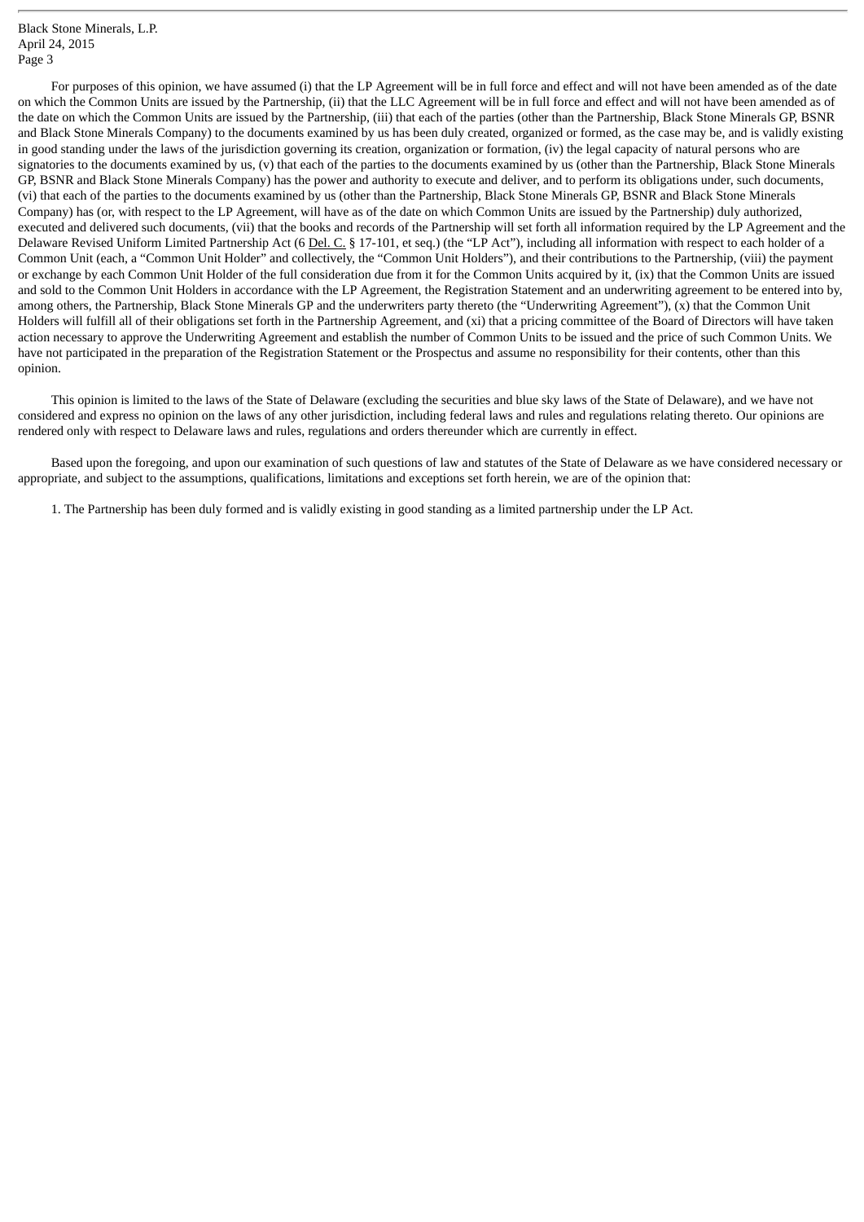Black Stone Minerals, L.P. April 24, 2015 Page 3

For purposes of this opinion, we have assumed (i) that the LP Agreement will be in full force and effect and will not have been amended as of the date on which the Common Units are issued by the Partnership, (ii) that the LLC Agreement will be in full force and effect and will not have been amended as of the date on which the Common Units are issued by the Partnership, (iii) that each of the parties (other than the Partnership, Black Stone Minerals GP, BSNR and Black Stone Minerals Company) to the documents examined by us has been duly created, organized or formed, as the case may be, and is validly existing in good standing under the laws of the jurisdiction governing its creation, organization or formation, (iv) the legal capacity of natural persons who are signatories to the documents examined by us, (v) that each of the parties to the documents examined by us (other than the Partnership, Black Stone Minerals GP, BSNR and Black Stone Minerals Company) has the power and authority to execute and deliver, and to perform its obligations under, such documents, (vi) that each of the parties to the documents examined by us (other than the Partnership, Black Stone Minerals GP, BSNR and Black Stone Minerals Company) has (or, with respect to the LP Agreement, will have as of the date on which Common Units are issued by the Partnership) duly authorized, executed and delivered such documents, (vii) that the books and records of the Partnership will set forth all information required by the LP Agreement and the Delaware Revised Uniform Limited Partnership Act (6 Del. C. § 17-101, et seq.) (the "LP Act"), including all information with respect to each holder of a Common Unit (each, a "Common Unit Holder" and collectively, the "Common Unit Holders"), and their contributions to the Partnership, (viii) the payment or exchange by each Common Unit Holder of the full consideration due from it for the Common Units acquired by it, (ix) that the Common Units are issued and sold to the Common Unit Holders in accordance with the LP Agreement, the Registration Statement and an underwriting agreement to be entered into by, among others, the Partnership, Black Stone Minerals GP and the underwriters party thereto (the "Underwriting Agreement"), (x) that the Common Unit Holders will fulfill all of their obligations set forth in the Partnership Agreement, and (xi) that a pricing committee of the Board of Directors will have taken action necessary to approve the Underwriting Agreement and establish the number of Common Units to be issued and the price of such Common Units. We have not participated in the preparation of the Registration Statement or the Prospectus and assume no responsibility for their contents, other than this opinion.

This opinion is limited to the laws of the State of Delaware (excluding the securities and blue sky laws of the State of Delaware), and we have not considered and express no opinion on the laws of any other jurisdiction, including federal laws and rules and regulations relating thereto. Our opinions are rendered only with respect to Delaware laws and rules, regulations and orders thereunder which are currently in effect.

Based upon the foregoing, and upon our examination of such questions of law and statutes of the State of Delaware as we have considered necessary or appropriate, and subject to the assumptions, qualifications, limitations and exceptions set forth herein, we are of the opinion that:

1. The Partnership has been duly formed and is validly existing in good standing as a limited partnership under the LP Act.